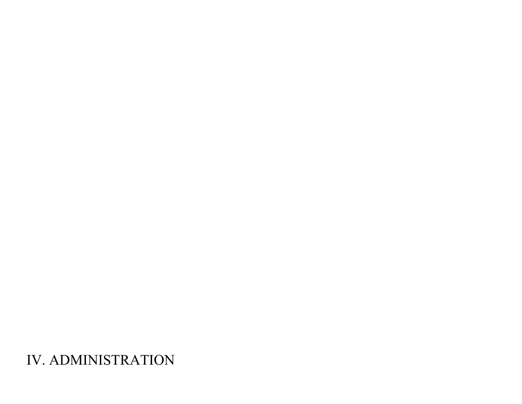IV. ADMINISTRATION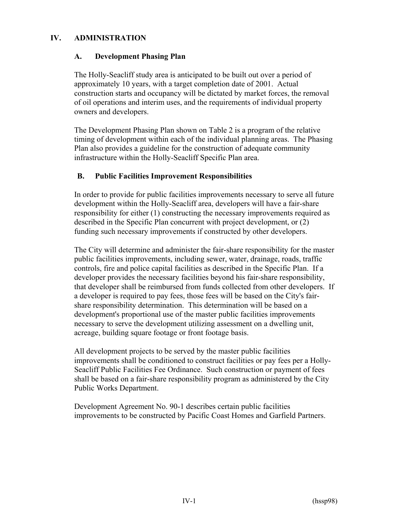## **IV. ADMINISTRATION**

#### **A. Development Phasing Plan**

 The Holly-Seacliff study area is anticipated to be built out over a period of approximately 10 years, with a target completion date of 2001. Actual construction starts and occupancy will be dictated by market forces, the removal of oil operations and interim uses, and the requirements of individual property owners and developers.

 The Development Phasing Plan shown on Table 2 is a program of the relative timing of development within each of the individual planning areas. The Phasing Plan also provides a guideline for the construction of adequate community infrastructure within the Holly-Seacliff Specific Plan area.

#### **B. Public Facilities Improvement Responsibilities**

 In order to provide for public facilities improvements necessary to serve all future development within the Holly-Seacliff area, developers will have a fair-share responsibility for either (1) constructing the necessary improvements required as described in the Specific Plan concurrent with project development, or (2) funding such necessary improvements if constructed by other developers.

The City will determine and administer the fair-share responsibility for the master public facilities improvements, including sewer, water, drainage, roads, traffic controls, fire and police capital facilities as described in the Specific Plan. If a developer provides the necessary facilities beyond his fair-share responsibility, that developer shall be reimbursed from funds collected from other developers. If a developer is required to pay fees, those fees will be based on the City's fairshare responsibility determination. This determination will be based on a development's proportional use of the master public facilities improvements necessary to serve the development utilizing assessment on a dwelling unit, acreage, building square footage or front footage basis.

 All development projects to be served by the master public facilities improvements shall be conditioned to construct facilities or pay fees per a Holly- Seacliff Public Facilities Fee Ordinance. Such construction or payment of fees shall be based on a fair-share responsibility program as administered by the City Public Works Department.

 Development Agreement No. 90-1 describes certain public facilities improvements to be constructed by Pacific Coast Homes and Garfield Partners.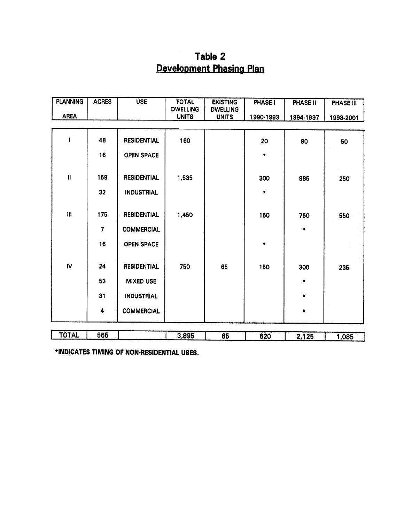# Table 2 **Development Phasing Plan**

| <b>PLANNING</b> | <b>ACRES</b>         | <b>USE</b>         | <b>TOTAL</b><br><b>DWELLING</b> | <b>EXISTING</b><br><b>DWELLING</b> | <b>PHASE I</b> | PHASE II  | <b>PHASE III</b> |
|-----------------|----------------------|--------------------|---------------------------------|------------------------------------|----------------|-----------|------------------|
| <b>AREA</b>     |                      |                    | <b>UNITS</b>                    | <b>UNITS</b>                       | 1990-1993      | 1994-1997 | 1998-2001        |
|                 | 48                   | <b>RESIDENTIAL</b> | 160                             |                                    | 20             | 90        | 50               |
|                 | 16                   | <b>OPEN SPACE</b>  |                                 |                                    | ٠              |           |                  |
| $\mathbf{I}$    | 159                  | <b>RESIDENTIAL</b> | 1,535                           |                                    | 300            | 985       | 250              |
|                 | 32                   | <b>INDUSTRIAL</b>  |                                 |                                    | ۰              |           |                  |
| $\mathbf{H}$    | 175                  | <b>RESIDENTIAL</b> | 1,450                           |                                    | 150            | 750       | 550              |
|                 | 7                    | <b>COMMERCIAL</b>  |                                 |                                    |                | ۰         |                  |
|                 | 16                   | <b>OPEN SPACE</b>  |                                 |                                    | $\bullet$      |           |                  |
| $\mathsf{IV}$   | 24                   | <b>RESIDENTIAL</b> | 750                             | 65                                 | 150            | 300       | 235              |
|                 | 53                   | <b>MIXED USE</b>   |                                 |                                    |                |           |                  |
|                 | 31                   | <b>INDUSTRIAL</b>  |                                 |                                    |                | ٠         |                  |
|                 | $\ddot{\phantom{a}}$ | <b>COMMERCIAL</b>  |                                 |                                    |                | ٠         |                  |
| <b>TOTAL</b>    | 565                  |                    | 3,895                           | 65                                 | 620            | 2,125     | 1,085            |

\*INDICATES TIMING OF NON-RESIDENTIAL USES.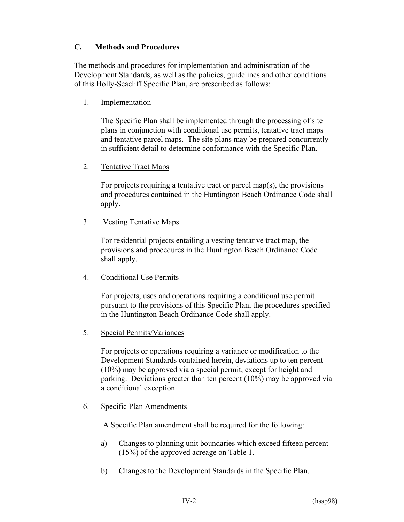## **C. Methods and Procedures**

 The methods and procedures for implementation and administration of the Development Standards, as well as the policies, guidelines and other conditions of this Holly-Seacliff Specific Plan, are prescribed as follows:

1. Implementation

The Specific Plan shall be implemented through the processing of site plans in conjunction with conditional use permits, tentative tract maps and tentative parcel maps. The site plans may be prepared concurrently in sufficient detail to determine conformance with the Specific Plan.

2. Tentative Tract Maps

For projects requiring a tentative tract or parcel map(s), the provisions and procedures contained in the Huntington Beach Ordinance Code shall apply.

3 .Vesting Tentative Maps

For residential projects entailing a vesting tentative tract map, the provisions and procedures in the Huntington Beach Ordinance Code shall apply.

4. Conditional Use Permits

For projects, uses and operations requiring a conditional use permit pursuant to the provisions of this Specific Plan, the procedures specified in the Huntington Beach Ordinance Code shall apply.

5. Special Permits/Variances

 For projects or operations requiring a variance or modification to the Development Standards contained herein, deviations up to ten percent (10%) may be approved via a special permit, except for height and parking. Deviations greater than ten percent (10%) may be approved via a conditional exception.

6. Specific Plan Amendments

A Specific Plan amendment shall be required for the following:

- a) Changes to planning unit boundaries which exceed fifteen percent (15%) of the approved acreage on Table 1.
- b) Changes to the Development Standards in the Specific Plan.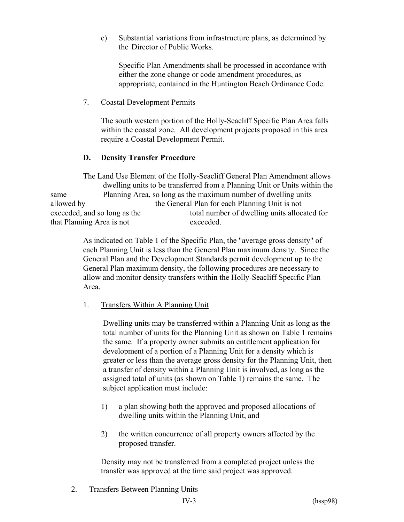c) Substantial variations from infrastructure plans, as determined by the Director of Public Works.

Specific Plan Amendments shall be processed in accordance with either the zone change or code amendment procedures, as appropriate, contained in the Huntington Beach Ordinance Code.

## 7. Coastal Development Permits

The south western portion of the Holly-Seacliff Specific Plan Area falls within the coastal zone. All development projects proposed in this area require a Coastal Development Permit.

# **D. Density Transfer Procedure**

 The Land Use Element of the Holly-Seacliff General Plan Amendment allows dwelling units to be transferred from a Planning Unit or Units within the same Planning Area, so long as the maximum number of dwelling units allowed by the General Plan for each Planning Unit is not exceeded, and so long as the total number of dwelling units allocated for that Planning Area is not exceeded.

> As indicated on Table 1 of the Specific Plan, the "average gross density" of each Planning Unit is less than the General Plan maximum density. Since the General Plan and the Development Standards permit development up to the General Plan maximum density, the following procedures are necessary to allow and monitor density transfers within the Holly-Seacliff Specific Plan Area.

# 1. Transfers Within A Planning Unit

 Dwelling units may be transferred within a Planning Unit as long as the total number of units for the Planning Unit as shown on Table 1 remains the same. If a property owner submits an entitlement application for development of a portion of a Planning Unit for a density which is greater or less than the average gross density for the Planning Unit, then a transfer of density within a Planning Unit is involved, as long as the assigned total of units (as shown on Table 1) remains the same. The subject application must include:

- 1) a plan showing both the approved and proposed allocations of dwelling units within the Planning Unit, and
- 2) the written concurrence of all property owners affected by the proposed transfer.

Density may not be transferred from a completed project unless the transfer was approved at the time said project was approved.

2. Transfers Between Planning Units